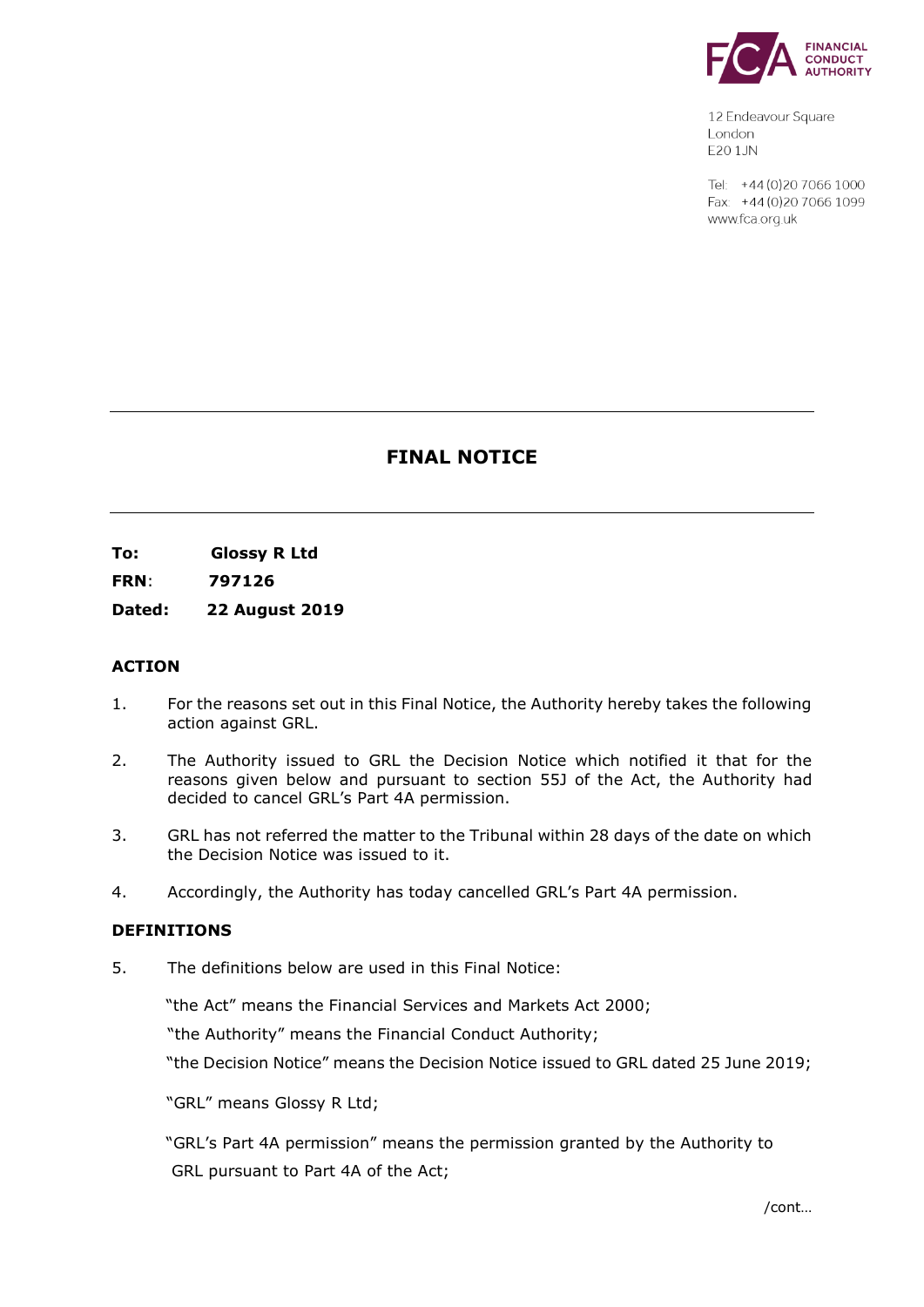

12 Endeavour Square London E201JN

Tel: +44 (0) 20 7066 1000 Fax: +44 (0) 20 7066 1099 www.fca.org.uk

# **FINAL NOTICE**

**To: Glossy R Ltd** 

**FRN**: **797126**

**Dated: 22 August 2019**

## **ACTION**

- 1. For the reasons set out in this Final Notice, the Authority hereby takes the following action against GRL.
- 2. The Authority issued to GRL the Decision Notice which notified it that for the reasons given below and pursuant to section 55J of the Act, the Authority had decided to cancel GRL's Part 4A permission.
- 3. GRL has not referred the matter to the Tribunal within 28 days of the date on which the Decision Notice was issued to it.
- 4. Accordingly, the Authority has today cancelled GRL's Part 4A permission.

#### **DEFINITIONS**

5. The definitions below are used in this Final Notice:

"the Act" means the Financial Services and Markets Act 2000;

"the Authority" means the Financial Conduct Authority;

"the Decision Notice" means the Decision Notice issued to GRL dated 25 June 2019;

"GRL" means Glossy R Ltd;

 "GRL's Part 4A permission" means the permission granted by the Authority to GRL pursuant to Part 4A of the Act;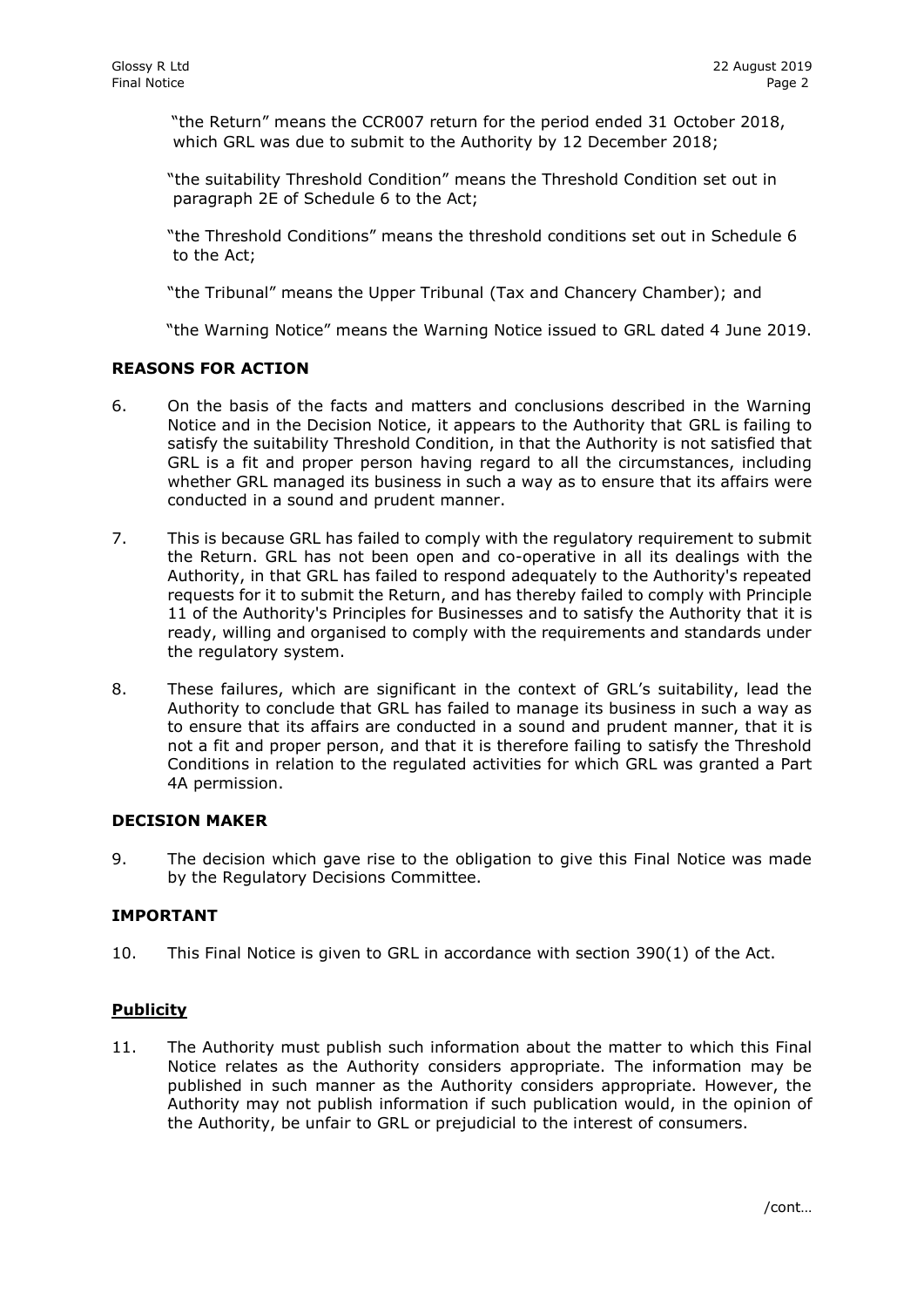"the Return" means the CCR007 return for the period ended 31 October 2018, which GRL was due to submit to the Authority by 12 December 2018;

"the suitability Threshold Condition" means the Threshold Condition set out in paragraph 2E of Schedule 6 to the Act;

"the Threshold Conditions" means the threshold conditions set out in Schedule 6 to the Act;

"the Tribunal" means the Upper Tribunal (Tax and Chancery Chamber); and

"the Warning Notice" means the Warning Notice issued to GRL dated 4 June 2019.

## **REASONS FOR ACTION**

- 6. On the basis of the facts and matters and conclusions described in the Warning Notice and in the Decision Notice, it appears to the Authority that GRL is failing to satisfy the suitability Threshold Condition, in that the Authority is not satisfied that GRL is a fit and proper person having regard to all the circumstances, including whether GRL managed its business in such a way as to ensure that its affairs were conducted in a sound and prudent manner.
- 7. This is because GRL has failed to comply with the regulatory requirement to submit the Return. GRL has not been open and co-operative in all its dealings with the Authority, in that GRL has failed to respond adequately to the Authority's repeated requests for it to submit the Return, and has thereby failed to comply with Principle 11 of the Authority's Principles for Businesses and to satisfy the Authority that it is ready, willing and organised to comply with the requirements and standards under the regulatory system.
- 8. These failures, which are significant in the context of GRL's suitability, lead the Authority to conclude that GRL has failed to manage its business in such a way as to ensure that its affairs are conducted in a sound and prudent manner, that it is not a fit and proper person, and that it is therefore failing to satisfy the Threshold Conditions in relation to the regulated activities for which GRL was granted a Part 4A permission.

#### **DECISION MAKER**

9. The decision which gave rise to the obligation to give this Final Notice was made by the Regulatory Decisions Committee.

#### **IMPORTANT**

10. This Final Notice is given to GRL in accordance with section 390(1) of the Act.

## **Publicity**

11. The Authority must publish such information about the matter to which this Final Notice relates as the Authority considers appropriate. The information may be published in such manner as the Authority considers appropriate. However, the Authority may not publish information if such publication would, in the opinion of the Authority, be unfair to GRL or prejudicial to the interest of consumers.